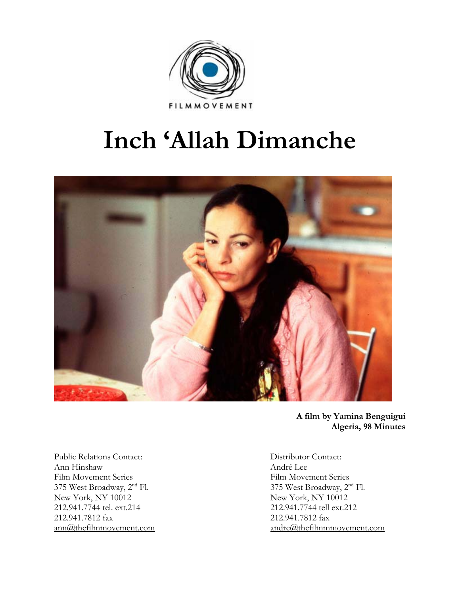

# **Inch 'Allah Dimanche**



**A film by Yamina Benguigui Algeria, 98 Minutes** 

Public Relations Contact: Distributor Contact: Ann Hinshaw André Lee Film Movement Series Film Movement Series<br>
375 West Broadway, 2<sup>nd</sup> Fl. 375 West Broadway, 2<sup>n</sup> New York, NY 10012 New York, NY 10012 212.941.7744 tel. ext.214 212.941.7744 tell ext.212 212.941.7812 fax 212.941.7812 fax

375 West Broadway,  $2<sup>nd</sup>$  Fl. ann@thefilmmovement.com andre@thefilmmmovement.com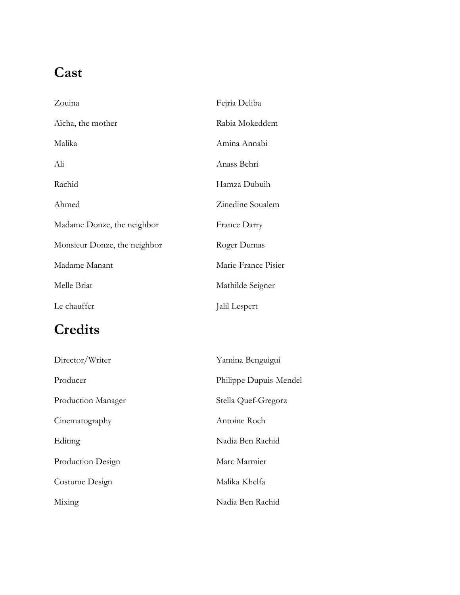# **Cast**

| Zouina                       | Fejria Deliba       |
|------------------------------|---------------------|
| Aïcha, the mother            | Rabia Mokeddem      |
| Malika                       | Amina Annabi        |
| Ali                          | Anass Behri         |
| Rachid                       | Hamza Dubuih        |
| Ahmed                        | Zinedine Soualem    |
| Madame Donze, the neighbor   | <b>France Darry</b> |
| Monsieur Donze, the neighbor | Roger Dumas         |
| Madame Manant                | Marie-France Pisier |
| Melle Briat                  | Mathilde Seigner    |
| Le chauffer                  | Jalil Lespert       |

# **Credits**

| Director/Writer    | Yamina Benguigui       |
|--------------------|------------------------|
| Producer           | Philippe Dupuis-Mendel |
| Production Manager | Stella Quef-Gregorz    |
| Cinematography     | Antoine Roch           |
| Editing            | Nadia Ben Rachid       |
| Production Design  | Marc Marmier           |
| Costume Design     | Malika Khelfa          |
| Mixing             | Nadia Ben Rachid       |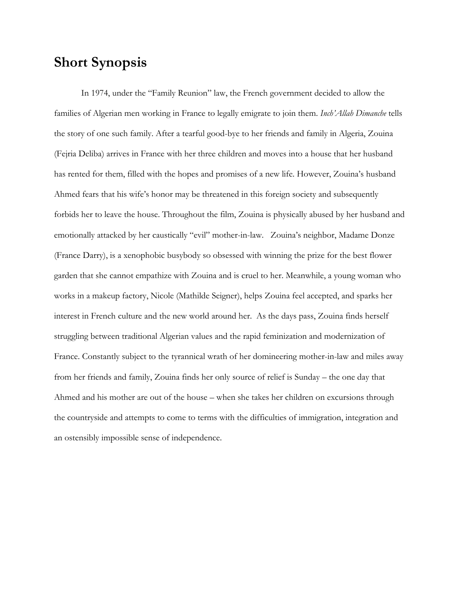### **Short Synopsis**

In 1974, under the "Family Reunion" law, the French government decided to allow the families of Algerian men working in France to legally emigrate to join them. *Inch'Allah Dimanche* tells the story of one such family. After a tearful good-bye to her friends and family in Algeria, Zouina (Fejria Deliba) arrives in France with her three children and moves into a house that her husband has rented for them, filled with the hopes and promises of a new life. However, Zouina's husband Ahmed fears that his wife's honor may be threatened in this foreign society and subsequently forbids her to leave the house. Throughout the film, Zouina is physically abused by her husband and emotionally attacked by her caustically "evil" mother-in-law. Zouina's neighbor, Madame Donze (France Darry), is a xenophobic busybody so obsessed with winning the prize for the best flower garden that she cannot empathize with Zouina and is cruel to her. Meanwhile, a young woman who works in a makeup factory, Nicole (Mathilde Seigner), helps Zouina feel accepted, and sparks her interest in French culture and the new world around her. As the days pass, Zouina finds herself struggling between traditional Algerian values and the rapid feminization and modernization of France. Constantly subject to the tyrannical wrath of her domineering mother-in-law and miles away from her friends and family, Zouina finds her only source of relief is Sunday – the one day that Ahmed and his mother are out of the house – when she takes her children on excursions through the countryside and attempts to come to terms with the difficulties of immigration, integration and an ostensibly impossible sense of independence.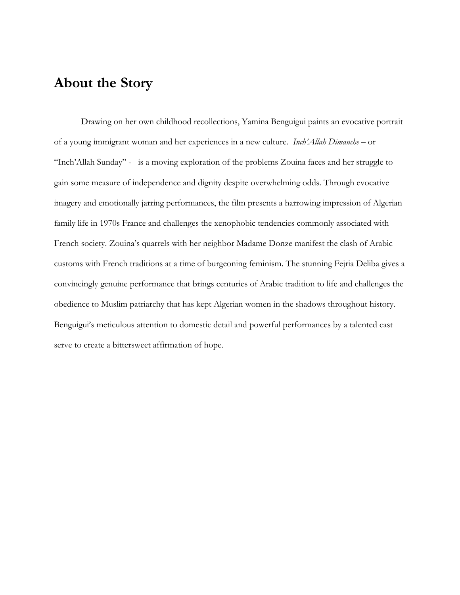# **About the Story**

Drawing on her own childhood recollections, Yamina Benguigui paints an evocative portrait of a young immigrant woman and her experiences in a new culture. *Inch'Allah Dimanche* – or "Inch'Allah Sunday" - is a moving exploration of the problems Zouina faces and her struggle to gain some measure of independence and dignity despite overwhelming odds. Through evocative imagery and emotionally jarring performances, the film presents a harrowing impression of Algerian family life in 1970s France and challenges the xenophobic tendencies commonly associated with French society. Zouina's quarrels with her neighbor Madame Donze manifest the clash of Arabic customs with French traditions at a time of burgeoning feminism. The stunning Fejria Deliba gives a convincingly genuine performance that brings centuries of Arabic tradition to life and challenges the obedience to Muslim patriarchy that has kept Algerian women in the shadows throughout history. Benguigui's meticulous attention to domestic detail and powerful performances by a talented cast serve to create a bittersweet affirmation of hope.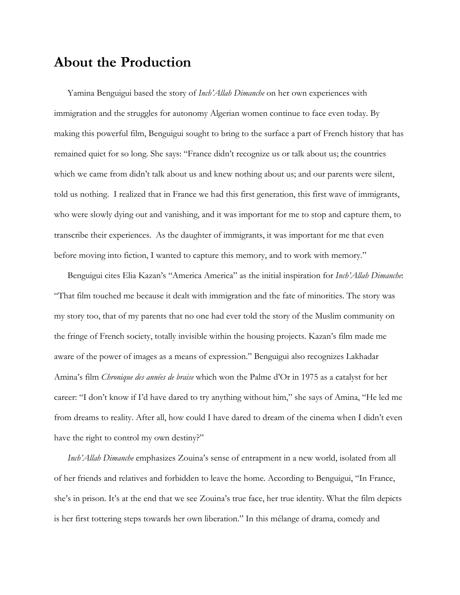### **About the Production**

Yamina Benguigui based the story of *Inch'Allah Dimanche* on her own experiences with immigration and the struggles for autonomy Algerian women continue to face even today. By making this powerful film, Benguigui sought to bring to the surface a part of French history that has remained quiet for so long. She says: "France didn't recognize us or talk about us; the countries which we came from didn't talk about us and knew nothing about us; and our parents were silent, told us nothing. I realized that in France we had this first generation, this first wave of immigrants, who were slowly dying out and vanishing, and it was important for me to stop and capture them, to transcribe their experiences. As the daughter of immigrants, it was important for me that even before moving into fiction, I wanted to capture this memory, and to work with memory."

Benguigui cites Elia Kazan's "America America" as the initial inspiration for *Inch'Allah Dimanche*: "That film touched me because it dealt with immigration and the fate of minorities. The story was my story too, that of my parents that no one had ever told the story of the Muslim community on the fringe of French society, totally invisible within the housing projects. Kazan's film made me aware of the power of images as a means of expression." Benguigui also recognizes Lakhadar Amina's film *Chronique des années de braise* which won the Palme d'Or in 1975 as a catalyst for her career: "I don't know if I'd have dared to try anything without him," she says of Amina, "He led me from dreams to reality. After all, how could I have dared to dream of the cinema when I didn't even have the right to control my own destiny?"

*Inch'Allah Dimanche* emphasizes Zouina's sense of entrapment in a new world, isolated from all of her friends and relatives and forbidden to leave the home. According to Benguigui, "In France, she's in prison. It's at the end that we see Zouina's true face, her true identity. What the film depicts is her first tottering steps towards her own liberation." In this mélange of drama, comedy and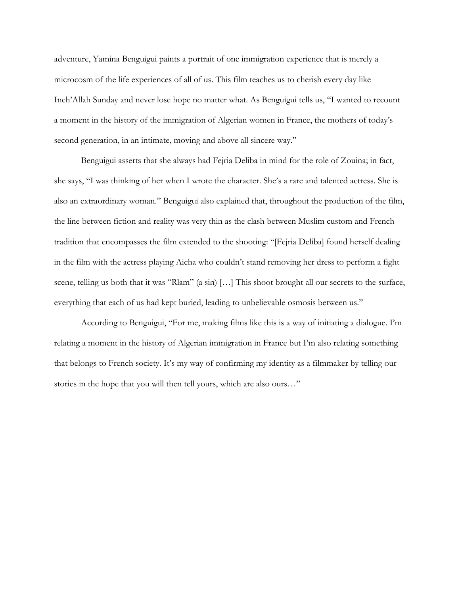adventure, Yamina Benguigui paints a portrait of one immigration experience that is merely a microcosm of the life experiences of all of us. This film teaches us to cherish every day like Inch'Allah Sunday and never lose hope no matter what. As Benguigui tells us, "I wanted to recount a moment in the history of the immigration of Algerian women in France, the mothers of today's second generation, in an intimate, moving and above all sincere way."

Benguigui asserts that she always had Fejria Deliba in mind for the role of Zouina; in fact, she says, "I was thinking of her when I wrote the character. She's a rare and talented actress. She is also an extraordinary woman." Benguigui also explained that, throughout the production of the film, the line between fiction and reality was very thin as the clash between Muslim custom and French tradition that encompasses the film extended to the shooting: "[Fejria Deliba] found herself dealing in the film with the actress playing Aicha who couldn't stand removing her dress to perform a fight scene, telling us both that it was "Rlam" (a sin) […] This shoot brought all our secrets to the surface, everything that each of us had kept buried, leading to unbelievable osmosis between us."

According to Benguigui, "For me, making films like this is a way of initiating a dialogue. I'm relating a moment in the history of Algerian immigration in France but I'm also relating something that belongs to French society. It's my way of confirming my identity as a filmmaker by telling our stories in the hope that you will then tell yours, which are also ours…"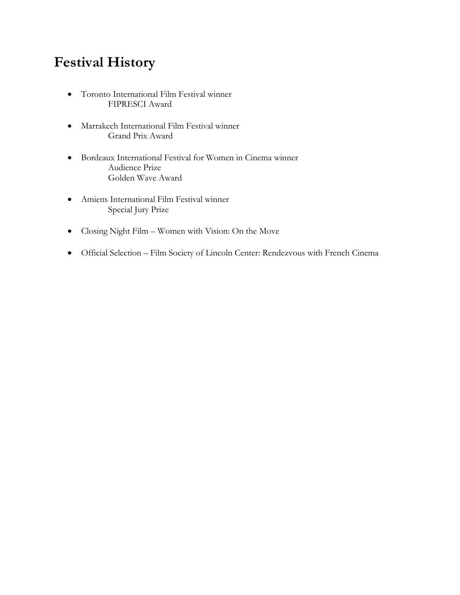# **Festival History**

- Toronto International Film Festival winner FIPRESCI Award
- Marrakech International Film Festival winner Grand Prix Award
- Bordeaux International Festival for Women in Cinema winner Audience Prize Golden Wave Award
- Amiens International Film Festival winner Special Jury Prize
- Closing Night Film Women with Vision: On the Move
- Official Selection Film Society of Lincoln Center: Rendezvous with French Cinema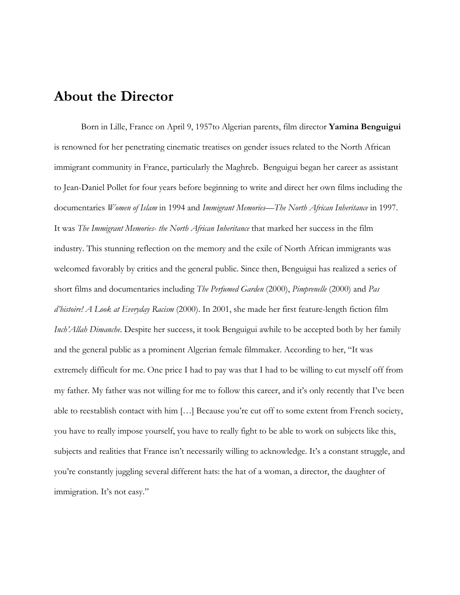### **About the Director**

Born in Lille, France on April 9, 1957to Algerian parents, film director **Yamina Benguigui** is renowned for her penetrating cinematic treatises on gender issues related to the North African immigrant community in France, particularly the Maghreb. Benguigui began her career as assistant to Jean-Daniel Pollet for four years before beginning to write and direct her own films including the documentaries *Women of Islam* in 1994 and *Immigrant Memories*—*The North African Inheritance* in 1997. It was *The Immigrant Memories- the North African Inheritance* that marked her success in the film industry. This stunning reflection on the memory and the exile of North African immigrants was welcomed favorably by critics and the general public. Since then, Benguigui has realized a series of short films and documentaries including *The Perfumed Garden* (2000), *Pimprenelle* (2000) and *Pas d'histoire! A Look at Everyday Racism* (2000). In 2001, she made her first feature-length fiction film *Inch'Allah Dimanche*. Despite her success, it took Benguigui awhile to be accepted both by her family and the general public as a prominent Algerian female filmmaker. According to her, "It was extremely difficult for me. One price I had to pay was that I had to be willing to cut myself off from my father. My father was not willing for me to follow this career, and it's only recently that I've been able to reestablish contact with him […] Because you're cut off to some extent from French society, you have to really impose yourself, you have to really fight to be able to work on subjects like this, subjects and realities that France isn't necessarily willing to acknowledge. It's a constant struggle, and you're constantly juggling several different hats: the hat of a woman, a director, the daughter of immigration. It's not easy."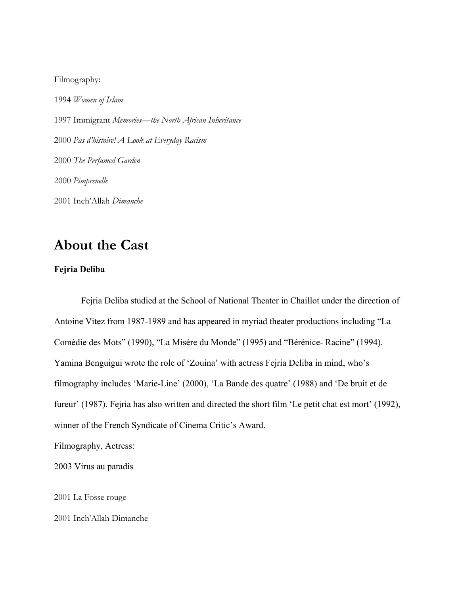#### Filmography:

*Women of Islam* 1997 Immigrant *Memories*—*the North African Inheritance Pas d'histoire! A Look at Everyday Racism The Perfumed Garden Pimprenelle* 2001 Inch'Allah *Dimanche* 

## **About the Cast**

#### **Fejria Deliba**

Fejria Deliba studied at the School of National Theater in Chaillot under the direction of Antoine Vitez from 1987-1989 and has appeared in myriad theater productions including "La Comédie des Mots" (1990), "La Misère du Monde" (1995) and "Bérénice- Racine" (1994). Yamina Benguigui wrote the role of 'Zouina' with actress Fejria Deliba in mind, who's filmography includes 'Marie-Line' (2000), 'La Bande des quatre' (1988) and 'De bruit et de fureur' (1987). Fejria has also written and directed the short film 'Le petit chat est mort' (1992), winner of the French Syndicate of Cinema Critic's Award.

Filmography, Actress:

2003 Virus au paradis

2001 La Fosse rouge

2001 Inch'Allah Dimanche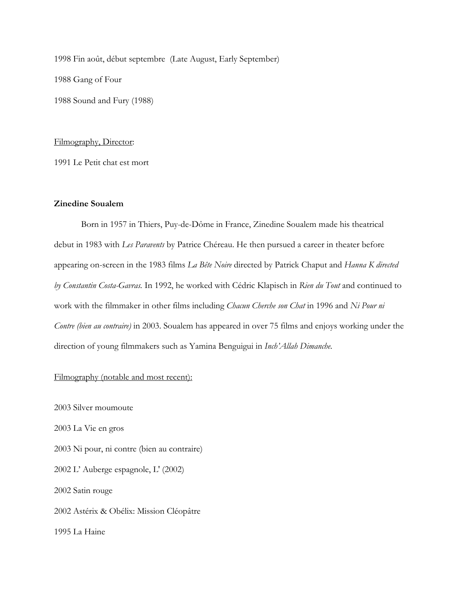1998 Fin août, début septembre (Late August, Early September) 1988 Gang of Four 1988 Sound and Fury (1988)

#### Filmography, Director:

1991 Le Petit chat est mort

#### **Zinedine Soualem**

Born in 1957 in Thiers, Puy-de-Dôme in France, Zinedine Soualem made his theatrical debut in 1983 with *Les Paravents* by Patrice Chéreau. He then pursued a career in theater before appearing on-screen in the 1983 films *La Bête Noire* directed by Patrick Chaput and *Hanna K directed by Constantin Costa-Gavras.* In 1992, he worked with Cédric Klapisch in *Rien du Tout* and continued to work with the filmmaker in other films including *Chacun Cherche son Chat* in 1996 and *Ni Pour ni Contre (bien au contraire)* in 2003. Soualem has appeared in over 75 films and enjoys working under the direction of young filmmakers such as Yamina Benguigui in *Inch'Allah Dimanche.* 

#### Filmography (notable and most recent):

2003 Silver moumoute 2003 La Vie en gros 2003 Ni pour, ni contre (bien au contraire) 2002 L' Auberge espagnole, L' (2002) 2002 Satin rouge 2002 Astérix & Obélix: Mission Cléopâtre 1995 La Haine